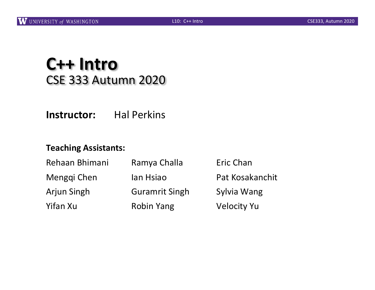#### **C++ Intro** CSE 333 Autumn 2020

**Instructor:** Hal Perkins

#### **Teaching Assistants:**

| Rehaan Bhimani | Ramya Challa          | Eric Chan          |
|----------------|-----------------------|--------------------|
| Menggi Chen    | lan Hsiao             | Pat Kosakanchit    |
| Arjun Singh    | <b>Guramrit Singh</b> | Sylvia Wang        |
| Yifan Xu       | <b>Robin Yang</b>     | <b>Velocity Yu</b> |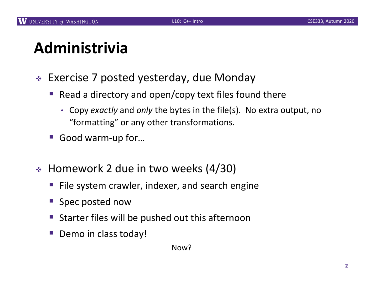# **Administrivia**

- $\div$  Exercise 7 posted yesterday, due Monday
	- Read a directory and open/copy text files found there
		- Copy *exactly* and *only* the bytes in the file(s). No extra output, no "formatting" or any other transformations.
	- Good warm-up for...
- $\div$  Homework 2 due in two weeks (4/30)
	- File system crawler, indexer, and search engine
	- § Spec posted now
	- § Starter files will be pushed out this afternoon
	- Demo in class today!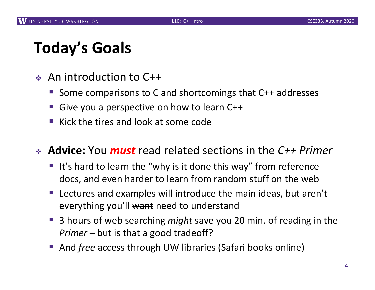# **Today's Goals**

- $\triangleq$  An introduction to C++
	- § Some comparisons to C and shortcomings that C++ addresses
	- § Give you a perspective on how to learn C++
	- § Kick the tires and look at some code

<sup>v</sup> **Advice:** You *must* read related sections in the *C++ Primer*

- It's hard to learn the "why is it done this way" from reference docs, and even harder to learn from random stuff on the web
- Lectures and examples will introduce the main ideas, but aren't everything you'll want need to understand
- § 3 hours of web searching *might* save you 20 min. of reading in the *Primer* – but is that a good tradeoff?
- § And *free* access through UW libraries (Safari books online)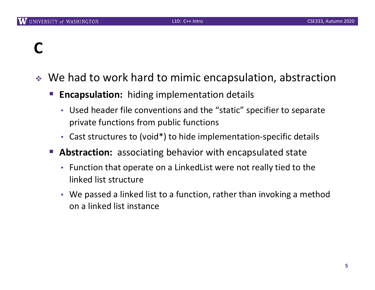# **C**

- $\cdot$  We had to work hard to mimic encapsulation, abstraction
	- **Encapsulation:** hiding implementation details
		- Used header file conventions and the "static" specifier to separate private functions from public functions
		- Cast structures to (void\*) to hide implementation-specific details
	- Abstraction: associating behavior with encapsulated state
		- Function that operate on a LinkedList were not really tied to the linked list structure
		- We passed a linked list to a function, rather than invoking a method on a linked list instance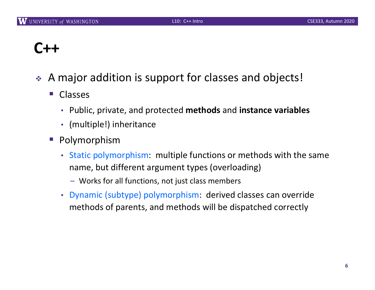# **C++**

- ◆ A major addition is support for classes and objects!
	- Classes
		- Public, private, and protected **methods** and **instance variables**
		- (multiple!) inheritance
	- Polymorphism
		- Static polymorphism: multiple functions or methods with the same name, but different argument types (overloading)
			- Works for all functions, not just class members
		- Dynamic (subtype) polymorphism: derived classes can override methods of parents, and methods will be dispatched correctly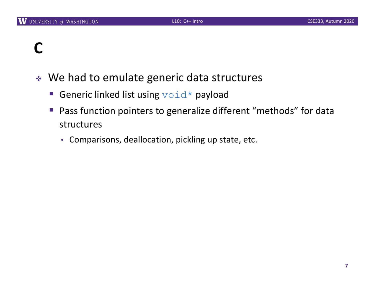# **C**

- ◆ We had to emulate generic data structures
	- Generic linked list using  $\text{void}^*$  payload
	- Pass function pointers to generalize different "methods" for data structures
		- Comparisons, deallocation, pickling up state, etc.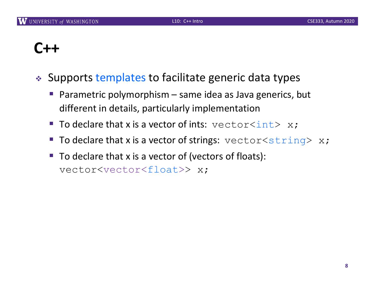# **C++**

- ↓ Supports templates to facilitate generic data types
	- Parametric polymorphism same idea as Java generics, but different in details, particularly implementation
	- To declare that x is a vector of ints:  $vector\sinh(x) = x;$
	- **To declare that x is a vector of strings:** vector  $\leq$  string> x;
	- To declare that x is a vector of (vectors of floats): vector<vector<float>> x;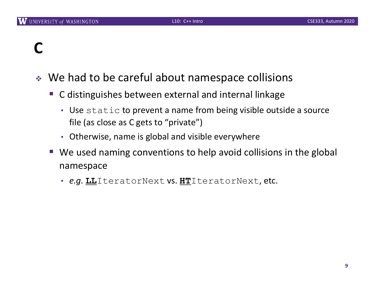# **C**

- $\cdot$  We had to be careful about namespace collisions
	- C distinguishes between external and internal linkage
		- Use static to prevent a name from being visible outside a source file (as close as C gets to "private")
		- Otherwise, name is global and visible everywhere
	- We used naming conventions to help avoid collisions in the global namespace
		- *e.g.* **LL**IteratorNext vs. **HT**IteratorNext, etc.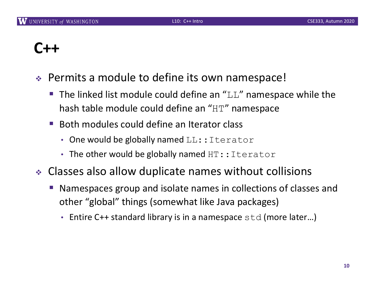### **C++**

- $\div$  Permits a module to define its own namespace!
	- **The linked list module could define an "LL" namespace while the** hash table module could define an "HT" namespace
	- § Both modules could define an Iterator class
		- One would be globally named  $LL$ ::Iterator
		- The other would be globally named  $HT:$ : Iterator
- Classes also allow duplicate names without collisions
	- § Namespaces group and isolate names in collections of classes and other "global" things (somewhat like Java packages)
		- Entire C++ standard library is in a namespace  $std$  (more later...)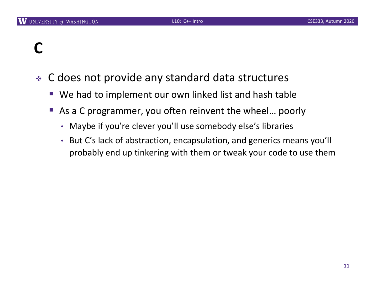# **C**

- C does not provide any standard data structures
	- We had to implement our own linked list and hash table
	- As a C programmer, you often reinvent the wheel... poorly
		- Maybe if you're clever you'll use somebody else's libraries
		- But C's lack of abstraction, encapsulation, and generics means you'll probably end up tinkering with them or tweak your code to use them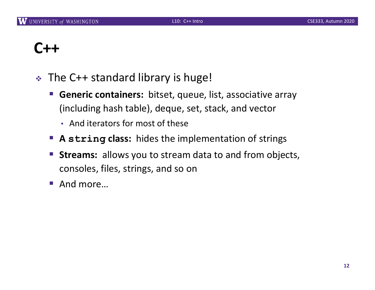# **C++**

- $\div$  The C++ standard library is huge!
	- § **Generic containers:** bitset, queue, list, associative array (including hash table), deque, set, stack, and vector
		- And iterators for most of these
	- § **A string class:** hides the implementation of strings
	- § **Streams:** allows you to stream data to and from objects, consoles, files, strings, and so on
	- § And more…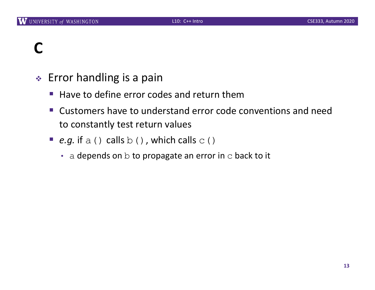# **C**

- $\triangleleft$  Error handling is a pain
	- Have to define error codes and return them
	- Customers have to understand error code conventions and need to constantly test return values
	- **e.g.** if a () calls  $b($ ), which calls  $c($ 
		- $\cdot$  a depends on b to propagate an error in c back to it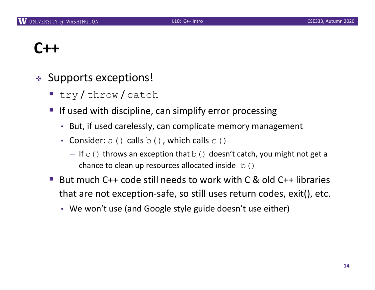# **C++**

- $\triangleleft$  Supports exceptions!
	- try/throw/catch
	- If used with discipline, can simplify error processing
		- But, if used carelessly, can complicate memory management
		- Consider:  $a()$  calls  $b()$ , which calls  $c()$ 
			- If  $\in$  () throws an exception that  $\infty$  () doesn't catch, you might not get a chance to clean up resources allocated inside  $b()$
	- § But much C++ code still needs to work with C & old C++ libraries that are not exception-safe, so still uses return codes, exit(), etc.
		- We won't use (and Google style guide doesn't use either)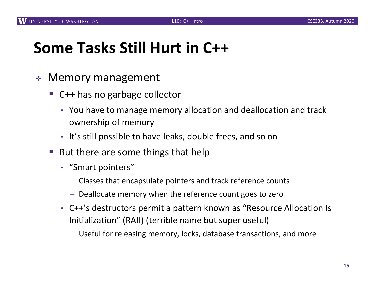# **Some Tasks Still Hurt in C++**

- $\triangleleft$  Memory management
	- C++ has no garbage collector
		- You have to manage memory allocation and deallocation and track ownership of memory
		- It's still possible to have leaks, double frees, and so on
	- But there are some things that help
		- "Smart pointers"
			- Classes that encapsulate pointers and track reference counts
			- Deallocate memory when the reference count goes to zero
		- C++'s destructors permit a pattern known as "Resource Allocation Is Initialization" (RAII) (terrible name but super useful)
			- Useful for releasing memory, locks, database transactions, and more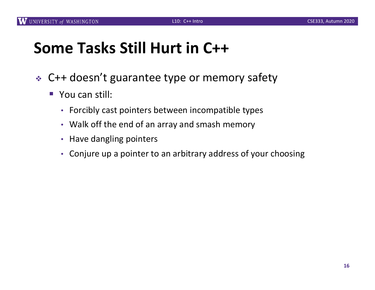# **Some Tasks Still Hurt in C++**

- ◆ C++ doesn't guarantee type or memory safety
	- You can still:
		- Forcibly cast pointers between incompatible types
		- Walk off the end of an array and smash memory
		- Have dangling pointers
		- Conjure up a pointer to an arbitrary address of your choosing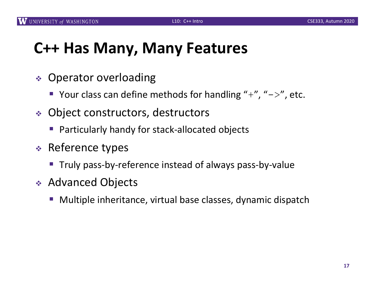#### **C++ Has Many, Many Features**

- $\div$  Operator overloading
	- Your class can define methods for handling "+", " $\rightarrow$ ", etc.
- ◆ Object constructors, destructors
	- Particularly handy for stack-allocated objects
- $\div$  Reference types
	- Truly pass-by-reference instead of always pass-by-value
- ◆ Advanced Objects
	- Multiple inheritance, virtual base classes, dynamic dispatch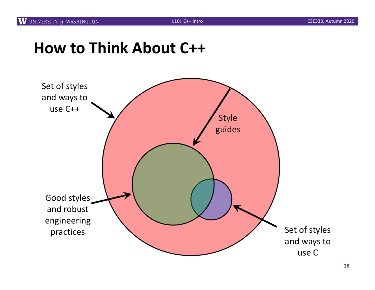#### **How to Think About C++**

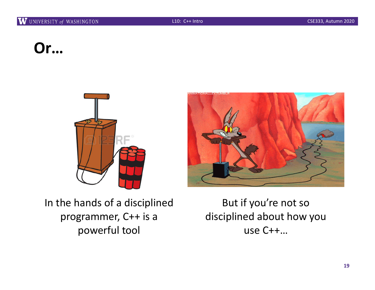# **Or…**





In the hands of a disciplined programmer, C++ is a powerful tool

But if you're not so disciplined about how you use C++…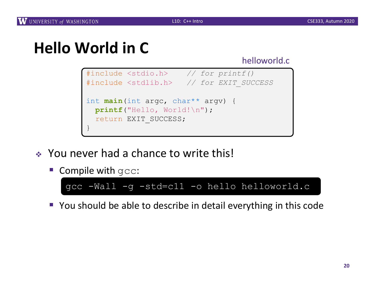#### helloworld.c



- \* You never had a chance to write this!
	- Compile with gcc:



■ You should be able to describe in detail everything in this code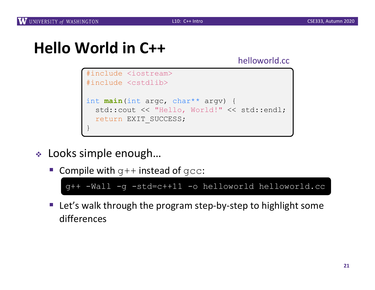helloworld.cc



- ◆ Looks simple enough...
	- Compile with  $q++$  instead of  $qcc$ :

g++ -Wall -g -std=c++11 -o helloworld helloworld.cc

■ Let's walk through the program step-by-step to highlight some differences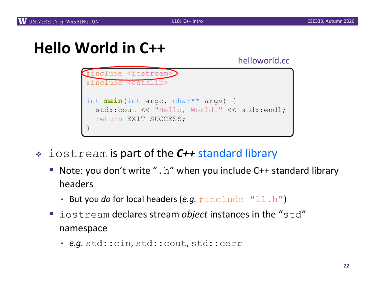

- <sup>v</sup> iostream is part of the *C++* standard library
	- Note: you don't write ". h" when you include C++ standard library headers
		- But you *do* for local headers (*e.g.* #include "ll.h")
	- iostream declares stream *object* instances in the "std" namespace
		- *e.g.* std::cin, std::cout, std::cerr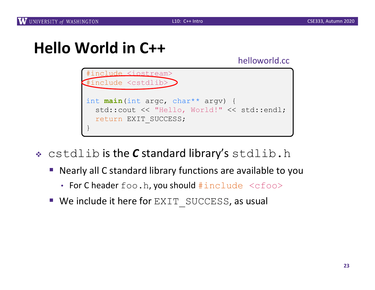

- \* cstdlib is the *C* standard library's stdlib.h
	- § Nearly all C standard library functions are available to you
		- For C header foo.h, you should  $\#include$   $<$  cfoo $>$
	- We include it here for EXIT SUCCESS, as usual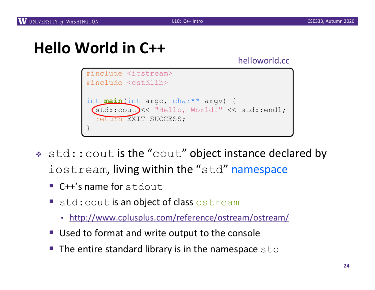

- $\ast$  std:: cout is the "cout" object instance declared by iostream, living within the "std" namespace
	- $\blacksquare$  C++'s name for stdout
	- std: cout is an object of class ostream
		- [http://www.cplusplus.com/reference/ostream/ostre](http://www.cplusplus.com/reference/ostream/ostream/)am/
	- Used to format and write output to the console
	- $\blacksquare$  The entire standard library is in the namespace  $\texttt{std}$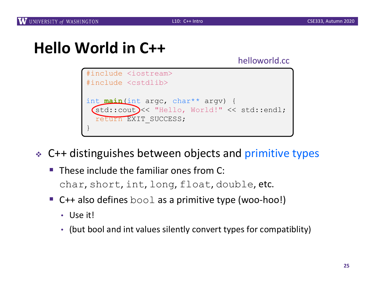helloworld.cc



↓ C++ distinguishes between objects and primitive types

- $\blacksquare$  These include the familiar ones from C: char, short, int, long, float, double, etc.
- C++ also defines  $b \circ \circ \bot$  as a primitive type (woo-hoo!)
	- Use it!
	- (but bool and int values silently convert types for compatiblity)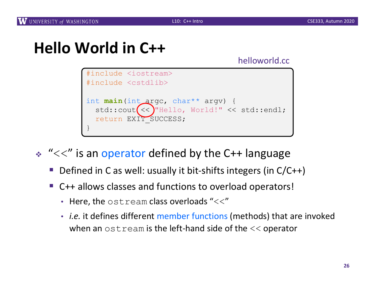helloworld.cc



 $\cdot$  " $<<$ " is an operator defined by the C++ language

- Defined in C as well: usually it bit-shifts integers (in  $C/C++$ )
- C++ allows classes and functions to overload operators!
	- Here, the  $\circ$ stream class overloads "<<"
	- *i.e.* it defines different member functions (methods) that are invoked when an  $\circ$ stream is the left-hand side of the  $<<$  operator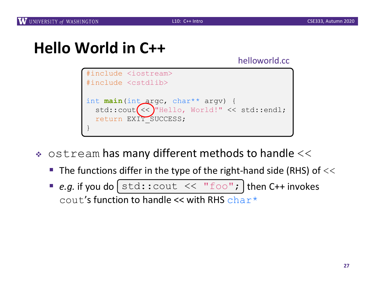

- $\bullet$  ostream has many different methods to handle  $<<$ 
	- **The functions differ in the type of the right-hand side (RHS) of**  $<<$
	- **P** e.g. if you do  $[\text{std}:\text{count}<< \text{``foo''};$  then C++ invokes cout's function to handle  $\leq$  with RHS char<sup>\*</sup>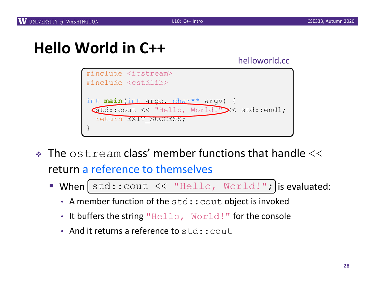

- $\cdot$  The ostream class' member functions that handle  $<<$ return a reference to themselves
	- **When**  $[std::count << "Hello, World!";]$  is evaluated:
		- A member function of the std:: cout object is invoked
		- It buffers the string "Hello, World!" for the console
		- And it returns a reference to std: : cout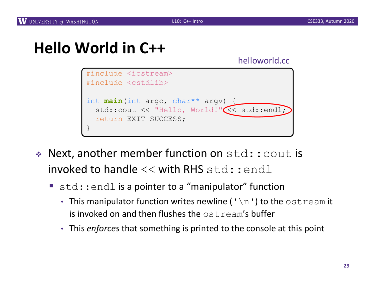

- $\triangleleft$  Next, another member function on  $std:count$  is invoked to handle  $<<$  with RHS std::endl
	- std::endl is a pointer to a "manipulator" function
		- This manipulator function writes newline ( $\lceil \ln \rceil$ ) to the  $\circ$ stream it is invoked on and then flushes the ostream's buffer
		- This *enforces* that something is printed to the console at this point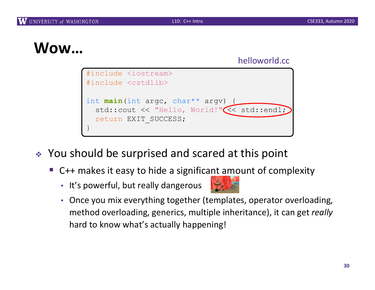#### **Wow…**

#### helloworld.cc



- ◆ You should be surprised and scared at this point
	- C++ makes it easy to hide a significant amount of complexity
		- It's powerful, but really dangerous



• Once you mix everything together (templates, operator overloading, method overloading, generics, multiple inheritance), it can get *really* hard to know what's actually happening!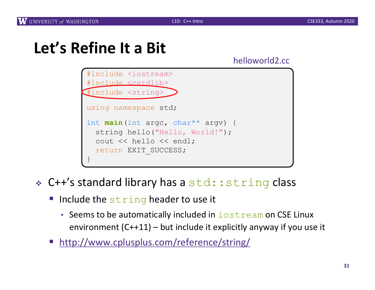#### helloworld2.cc



#### $\div$  C++'s standard library has a std:: string class

- **Include the string header to use it** 
	- Seems to be automatically included in  $i$ ostream on CSE Linux environment (C++11) – but include it explicitly anyway if you use it
- [http://www.cplusplus.com/reference/str](http://www.cplusplus.com/reference/string/)ing/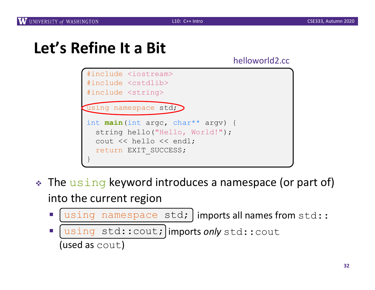| #include <iostream><br/>#include <cstdlib><br/>#include <string></string></cstdlib></iostream>                                            |
|-------------------------------------------------------------------------------------------------------------------------------------------|
| (using namespace std;)                                                                                                                    |
| int <b>main</b> (int arge, char** argy) {<br>string hello("Hello, World!");<br>cout $\lt\lt$ hello $\lt\lt$ endl;<br>return EXIT SUCCESS; |

- The using keyword introduces a namespace (or part of) into the current region
	- $\blacksquare$  [using namespace std; ] imports all names from std::
	- **I** [using std::cout; imports only std::cout (used as cout)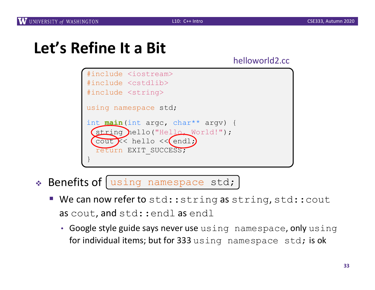helloworld2.cc



◆ Benefits of [using namespace std;

- We can now refer to std::string as string, std::cout as cout, and std: : endl as endl
	- Google style guide says never use using namespace, only using for individual items; but for 333 using namespace std; is ok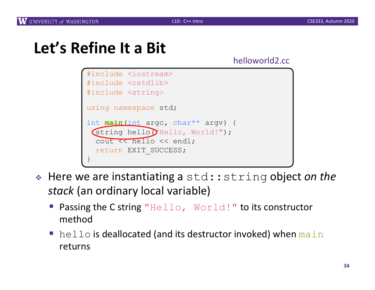```
#include <iostream>
#include <cstdlib>
#include <string>
using namespace std;
int main(int argc, char** argv) {
 (string hello("Hello, World!");
  cout << hello << endl;
  return EXIT_SUCCESS;
}
```
- <sup>v</sup> Here we are instantiating a std::string object *on the stack* (an ordinary local variable)
	- Passing the C string "Hello, World!" to its constructor method
	- $\blacksquare$  hello is deallocated (and its destructor invoked) when main returns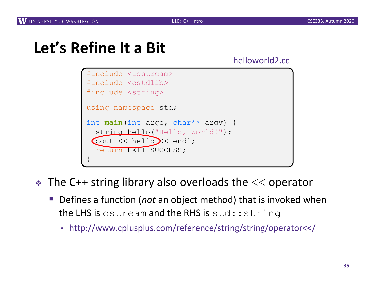```
#include <iostream>
#include <cstdlib>
#include <string>
using namespace std;
int main(int argc, char** argv) {
  string hello("Hello, World!");
 Cout \lt\lt hello \lt\lt\lt endl;
  return EXIT_SUCCESS;
}
```
- $\cdot$  The C++ string library also overloads the  $<<$  operator
	- § Defines a function (*not* an object method) that is invoked when the LHS is ostream and the RHS is std:: string
		- [http://www.cplusplus.com/reference/string/string/operato](http://www.cplusplus.com/reference/string/string/operator%3c%3c/)r<</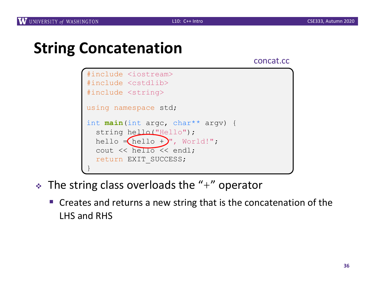### **String Concatenation**

concat.cc



- $\cdot$  The string class overloads the "+" operator
	- Creates and returns a new string that is the concatenation of the LHS and RHS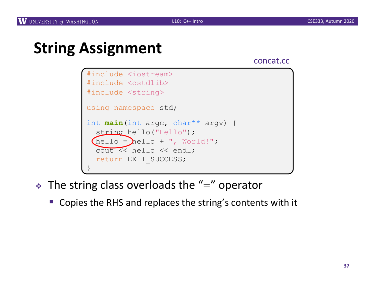# **String Assignment**

concat.cc



- $\cdot$  The string class overloads the "=" operator
	- Copies the RHS and replaces the string's contents with it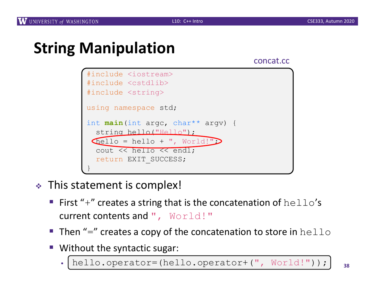## **String Manipulation**

concat.cc



- $\cdot$  This statement is complex!
	- **First "+" creates a string that is the concatenation of**  $hello's$ current contents and ", World!"
	- **Then "=" creates a copy of the concatenation to store in**  $hello$
	- Without the syntactic sugar: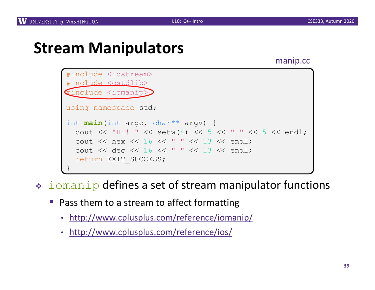#### **Stream Manipulators**

manip.cc



- $\cdot$  iomanip defines a set of stream manipulator functions
	- Pass them to a stream to affect formatting
		- [http://www.cplusplus.com/reference/ioma](http://www.cplusplus.com/reference/iomanip/)nip/
		- [http://www.cplusplus.com/reference/](http://www.cplusplus.com/reference/ios/)ios/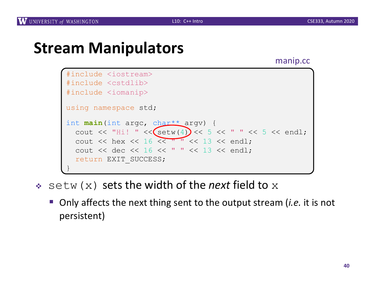#### **Stream Manipulators**

manip.cc



- \* setw(x) sets the width of the *next* field to x
	- Only affects the next thing sent to the output stream *(i.e.* it is not persistent)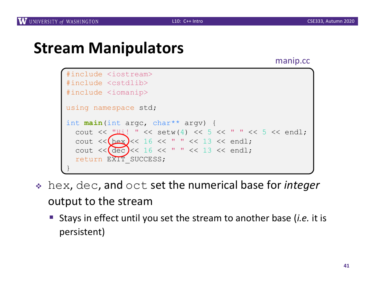#### **Stream Manipulators**

manip.cc



- <sup>v</sup> hex, dec, and oct set the numerical base for *integer* output to the stream
	- Stays in effect until you set the stream to another base (*i.e.* it is persistent)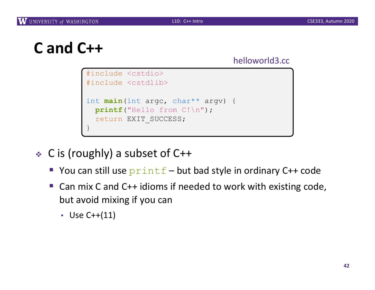```
C and C++
```

```
#include <cstdio>
#include <cstdlib>
int main(int argc, char** argv) {
 printf("Hello from C!\n");
  return EXIT_SUCCESS;
}
```
- <sup>v</sup> C is (roughly) a subset of C++
	- Sou can still use  $print f but$  bad style in ordinary C++ code
	- Can mix C and C++ idioms if needed to work with existing code, but avoid mixing if you can
		- Use C++(11)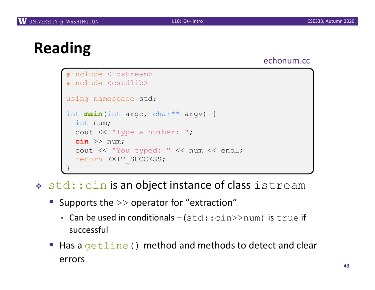# **Reading**

#### echonum.cc

```
#include <iostream>
#include <cstdlib>
using namespace std;
int main(int argc, char** argv) {
  int num;
  cout << "Type a number: ";
  cin >> num;
  cout << "You typed: " << num << endl;
  return EXIT_SUCCESS;
}
```
- \* std::cin is an object instance of class istream
	- **Supports the**  $\geq$  **operator for "extraction"** 
		- Can be used in conditionals  $-(std::cin>num)$  is true if successful
	- Has a  $q$ etline() method and methods to detect and clear errors